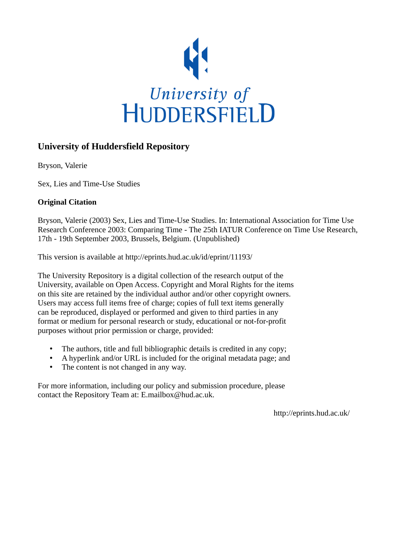

# **University of Huddersfield Repository**

Bryson, Valerie

Sex, Lies and Time-Use Studies

## **Original Citation**

Bryson, Valerie (2003) Sex, Lies and Time-Use Studies. In: International Association for Time Use Research Conference 2003: Comparing Time - The 25th IATUR Conference on Time Use Research, 17th - 19th September 2003, Brussels, Belgium. (Unpublished)

This version is available at http://eprints.hud.ac.uk/id/eprint/11193/

The University Repository is a digital collection of the research output of the University, available on Open Access. Copyright and Moral Rights for the items on this site are retained by the individual author and/or other copyright owners. Users may access full items free of charge; copies of full text items generally can be reproduced, displayed or performed and given to third parties in any format or medium for personal research or study, educational or not-for-profit purposes without prior permission or charge, provided:

- The authors, title and full bibliographic details is credited in any copy;
- A hyperlink and/or URL is included for the original metadata page; and
- The content is not changed in any way.

For more information, including our policy and submission procedure, please contact the Repository Team at: E.mailbox@hud.ac.uk.

http://eprints.hud.ac.uk/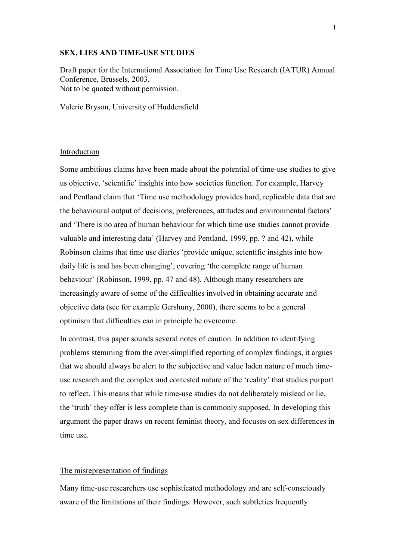### **SEX, LIES AND TIME-USE STUDIES**

Draft paper for the International Association for Time Use Research (IATUR) Annual Conference, Brussels, 2003. Not to be quoted without permission.

Valerie Bryson, University of Huddersfield

## Introduction

Some ambitious claims have been made about the potential of time-use studies to give us objective, 'scientific' insights into how societies function. For example, Harvey and Pentland claim that 'Time use methodology provides hard, replicable data that are the behavioural output of decisions, preferences, attitudes and environmental factors' and 'There is no area of human behaviour for which time use studies cannot provide valuable and interesting data' (Harvey and Pentland, 1999, pp. ? and 42), while Robinson claims that time use diaries 'provide unique, scientific insights into how daily life is and has been changing', covering 'the complete range of human behaviour' (Robinson, 1999, pp. 47 and 48). Although many researchers are increasingly aware of some of the difficulties involved in obtaining accurate and objective data (see for example Gershuny, 2000), there seems to be a general optimism that difficulties can in principle be overcome.

In contrast, this paper sounds several notes of caution. In addition to identifying problems stemming from the over-simplified reporting of complex findings, it argues that we should always be alert to the subjective and value laden nature of much timeuse research and the complex and contested nature of the 'reality' that studies purport to reflect. This means that while time-use studies do not deliberately mislead or lie, the 'truth' they offer is less complete than is commonly supposed. In developing this argument the paper draws on recent feminist theory, and focuses on sex differences in time use.

## The misrepresentation of findings

Many time-use researchers use sophisticated methodology and are self-consciously aware of the limitations of their findings. However, such subtleties frequently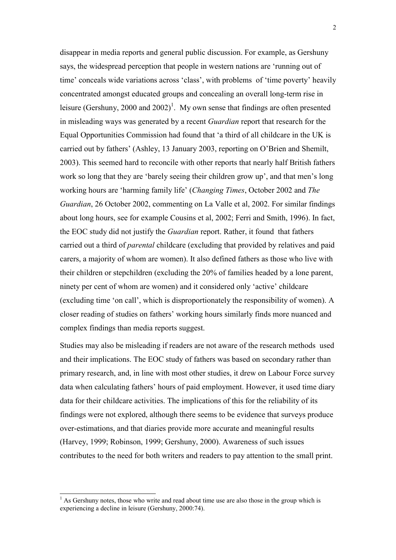disappear in media reports and general public discussion. For example, as Gershuny says, the widespread perception that people in western nations are 'running out of time' conceals wide variations across 'class', with problems of 'time poverty' heavily concentrated amongst educated groups and concealing an overall long-term rise in leisure (Gershuny, 2000 and 2002)<sup>1</sup>. My own sense that findings are often presented in misleading ways was generated by a recent *Guardian* report that research for the Equal Opportunities Commission had found that 'a third of all childcare in the UK is carried out by fathers' (Ashley, 13 January 2003, reporting on O'Brien and Shemilt, 2003). This seemed hard to reconcile with other reports that nearly half British fathers work so long that they are 'barely seeing their children grow up', and that men's long working hours are 'harming family life' (*Changing Times*, October 2002 and *The Guardian*, 26 October 2002, commenting on La Valle et al, 2002. For similar findings about long hours, see for example Cousins et al, 2002; Ferri and Smith, 1996). In fact, the EOC study did not justify the *Guardian* report. Rather, it found that fathers carried out a third of *parental* childcare (excluding that provided by relatives and paid carers, a majority of whom are women). It also defined fathers as those who live with their children or stepchildren (excluding the 20% of families headed by a lone parent, ninety per cent of whom are women) and it considered only 'active' childcare (excluding time 'on call', which is disproportionately the responsibility of women). A closer reading of studies on fathers' working hours similarly finds more nuanced and complex findings than media reports suggest.

Studies may also be misleading if readers are not aware of the research methods used and their implications. The EOC study of fathers was based on secondary rather than primary research, and, in line with most other studies, it drew on Labour Force survey data when calculating fathers' hours of paid employment. However, it used time diary data for their childcare activities. The implications of this for the reliability of its findings were not explored, although there seems to be evidence that surveys produce over-estimations, and that diaries provide more accurate and meaningful results (Harvey, 1999; Robinson, 1999; Gershuny, 2000). Awareness of such issues contributes to the need for both writers and readers to pay attention to the small print.

 $\overline{a}$ 

 $<sup>1</sup>$  As Gershuny notes, those who write and read about time use are also those in the group which is</sup> experiencing a decline in leisure (Gershuny, 2000:74).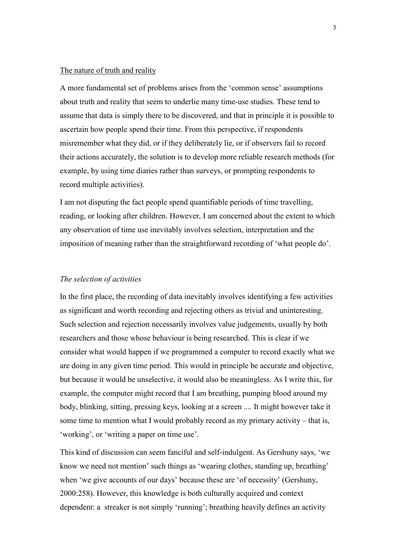#### The nature of truth and reality

A more fundamental set of problems arises from the 'common sense' assumptions about truth and reality that seem to underlie many time-use studies. These tend to assume that data is simply there to be discovered, and that in principle it is possible to ascertain how people spend their time. From this perspective, if respondents misremember what they did, or if they deliberately lie, or if observers fail to record their actions accurately, the solution is to develop more reliable research methods (for example, by using time diaries rather than surveys, or prompting respondents to record multiple activities).

I am not disputing the fact people spend quantifiable periods of time travelling, reading, or looking after children. However, I am concerned about the extent to which any observation of time use inevitably involves selection, interpretation and the imposition of meaning rather than the straightforward recording of 'what people do'.

## *The selection of activities*

In the first place, the recording of data inevitably involves identifying a few activities as significant and worth recording and rejecting others as trivial and uninteresting. Such selection and rejection necessarily involves value judgements, usually by both researchers and those whose behaviour is being researched. This is clear if we consider what would happen if we programmed a computer to record exactly what we are doing in any given time period. This would in principle be accurate and objective, but because it would be unselective, it would also be meaningless. As I write this, for example, the computer might record that I am breathing, pumping blood around my body, blinking, sitting, pressing keys, looking at a screen .... It might however take it some time to mention what I would probably record as my primary activity – that is, 'working', or 'writing a paper on time use'.

This kind of discussion can seem fanciful and self-indulgent. As Gershuny says, 'we know we need not mention' such things as 'wearing clothes, standing up, breathing' when 'we give accounts of our days' because these are 'of necessity' (Gershuny, 2000:258). However, this knowledge is both culturally acquired and context dependent: a streaker is not simply 'running'; breathing heavily defines an activity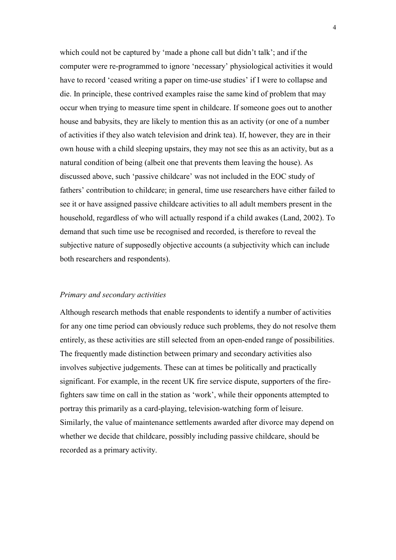which could not be captured by 'made a phone call but didn't talk'; and if the computer were re-programmed to ignore 'necessary' physiological activities it would have to record 'ceased writing a paper on time-use studies' if I were to collapse and die. In principle, these contrived examples raise the same kind of problem that may occur when trying to measure time spent in childcare. If someone goes out to another house and babysits, they are likely to mention this as an activity (or one of a number of activities if they also watch television and drink tea). If, however, they are in their own house with a child sleeping upstairs, they may not see this as an activity, but as a natural condition of being (albeit one that prevents them leaving the house). As discussed above, such 'passive childcare' was not included in the EOC study of fathers' contribution to childcare; in general, time use researchers have either failed to see it or have assigned passive childcare activities to all adult members present in the household, regardless of who will actually respond if a child awakes (Land, 2002). To demand that such time use be recognised and recorded, is therefore to reveal the subjective nature of supposedly objective accounts (a subjectivity which can include both researchers and respondents).

### *Primary and secondary activities*

Although research methods that enable respondents to identify a number of activities for any one time period can obviously reduce such problems, they do not resolve them entirely, as these activities are still selected from an open-ended range of possibilities. The frequently made distinction between primary and secondary activities also involves subjective judgements. These can at times be politically and practically significant. For example, in the recent UK fire service dispute, supporters of the firefighters saw time on call in the station as 'work', while their opponents attempted to portray this primarily as a card-playing, television-watching form of leisure. Similarly, the value of maintenance settlements awarded after divorce may depend on whether we decide that childcare, possibly including passive childcare, should be recorded as a primary activity.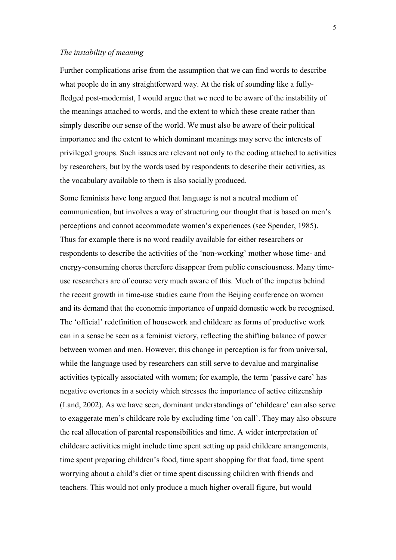## *The instability of meaning*

Further complications arise from the assumption that we can find words to describe what people do in any straightforward way. At the risk of sounding like a fullyfledged post-modernist, I would argue that we need to be aware of the instability of the meanings attached to words, and the extent to which these create rather than simply describe our sense of the world. We must also be aware of their political importance and the extent to which dominant meanings may serve the interests of privileged groups. Such issues are relevant not only to the coding attached to activities by researchers, but by the words used by respondents to describe their activities, as the vocabulary available to them is also socially produced.

Some feminists have long argued that language is not a neutral medium of communication, but involves a way of structuring our thought that is based on men's perceptions and cannot accommodate women's experiences (see Spender, 1985). Thus for example there is no word readily available for either researchers or respondents to describe the activities of the 'non-working' mother whose time- and energy-consuming chores therefore disappear from public consciousness. Many timeuse researchers are of course very much aware of this. Much of the impetus behind the recent growth in time-use studies came from the Beijing conference on women and its demand that the economic importance of unpaid domestic work be recognised. The 'official' redefinition of housework and childcare as forms of productive work can in a sense be seen as a feminist victory, reflecting the shifting balance of power between women and men. However, this change in perception is far from universal, while the language used by researchers can still serve to devalue and marginalise activities typically associated with women; for example, the term 'passive care' has negative overtones in a society which stresses the importance of active citizenship (Land, 2002). As we have seen, dominant understandings of 'childcare' can also serve to exaggerate men's childcare role by excluding time 'on call'. They may also obscure the real allocation of parental responsibilities and time. A wider interpretation of childcare activities might include time spent setting up paid childcare arrangements, time spent preparing children's food, time spent shopping for that food, time spent worrying about a child's diet or time spent discussing children with friends and teachers. This would not only produce a much higher overall figure, but would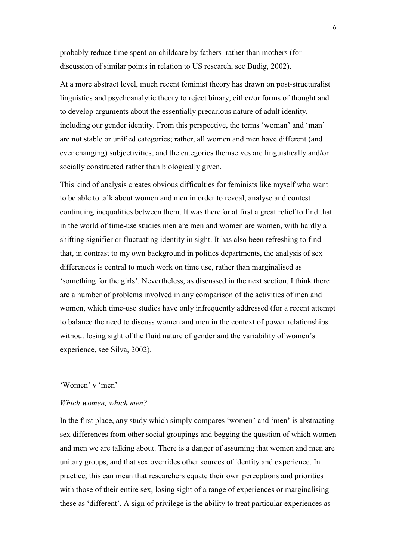probably reduce time spent on childcare by fathers rather than mothers (for discussion of similar points in relation to US research, see Budig, 2002).

At a more abstract level, much recent feminist theory has drawn on post-structuralist linguistics and psychoanalytic theory to reject binary, either/or forms of thought and to develop arguments about the essentially precarious nature of adult identity, including our gender identity. From this perspective, the terms 'woman' and 'man' are not stable or unified categories; rather, all women and men have different (and ever changing) subjectivities, and the categories themselves are linguistically and/or socially constructed rather than biologically given.

This kind of analysis creates obvious difficulties for feminists like myself who want to be able to talk about women and men in order to reveal, analyse and contest continuing inequalities between them. It was therefor at first a great relief to find that in the world of time-use studies men are men and women are women, with hardly a shifting signifier or fluctuating identity in sight. It has also been refreshing to find that, in contrast to my own background in politics departments, the analysis of sex differences is central to much work on time use, rather than marginalised as 'something for the girls'. Nevertheless, as discussed in the next section, I think there are a number of problems involved in any comparison of the activities of men and women, which time-use studies have only infrequently addressed (for a recent attempt to balance the need to discuss women and men in the context of power relationships without losing sight of the fluid nature of gender and the variability of women's experience, see Silva, 2002).

#### 'Women' v 'men'

#### *Which women, which men?*

In the first place, any study which simply compares 'women' and 'men' is abstracting sex differences from other social groupings and begging the question of which women and men we are talking about. There is a danger of assuming that women and men are unitary groups, and that sex overrides other sources of identity and experience. In practice, this can mean that researchers equate their own perceptions and priorities with those of their entire sex, losing sight of a range of experiences or marginalising these as 'different'. A sign of privilege is the ability to treat particular experiences as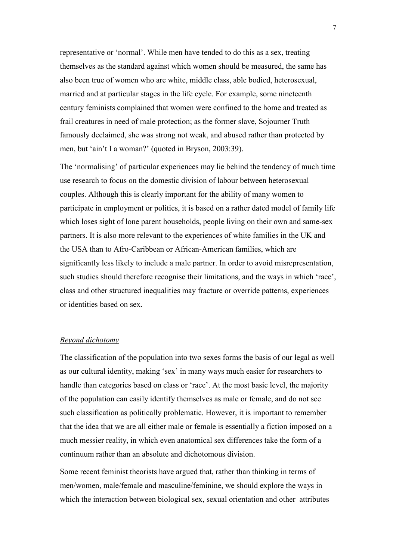representative or 'normal'. While men have tended to do this as a sex, treating themselves as the standard against which women should be measured, the same has also been true of women who are white, middle class, able bodied, heterosexual, married and at particular stages in the life cycle. For example, some nineteenth century feminists complained that women were confined to the home and treated as frail creatures in need of male protection; as the former slave, Sojourner Truth famously declaimed, she was strong not weak, and abused rather than protected by men, but 'ain't I a woman?' (quoted in Bryson, 2003:39).

The 'normalising' of particular experiences may lie behind the tendency of much time use research to focus on the domestic division of labour between heterosexual couples. Although this is clearly important for the ability of many women to participate in employment or politics, it is based on a rather dated model of family life which loses sight of lone parent households, people living on their own and same-sex partners. It is also more relevant to the experiences of white families in the UK and the USA than to Afro-Caribbean or African-American families, which are significantly less likely to include a male partner. In order to avoid misrepresentation, such studies should therefore recognise their limitations, and the ways in which 'race', class and other structured inequalities may fracture or override patterns, experiences or identities based on sex.

## *Beyond dichotomy*

The classification of the population into two sexes forms the basis of our legal as well as our cultural identity, making 'sex' in many ways much easier for researchers to handle than categories based on class or 'race'. At the most basic level, the majority of the population can easily identify themselves as male or female, and do not see such classification as politically problematic. However, it is important to remember that the idea that we are all either male or female is essentially a fiction imposed on a much messier reality, in which even anatomical sex differences take the form of a continuum rather than an absolute and dichotomous division.

Some recent feminist theorists have argued that, rather than thinking in terms of men/women, male/female and masculine/feminine, we should explore the ways in which the interaction between biological sex, sexual orientation and other attributes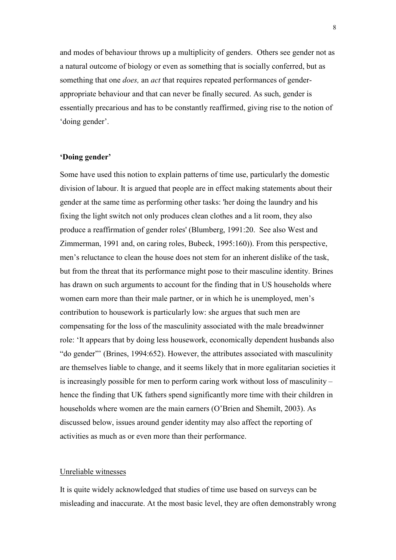and modes of behaviour throws up a multiplicity of genders. Others see gender not as a natural outcome of biology or even as something that is socially conferred, but as something that one *does,* an *act* that requires repeated performances of genderappropriate behaviour and that can never be finally secured. As such, gender is essentially precarious and has to be constantly reaffirmed, giving rise to the notion of 'doing gender'.

## **'Doing gender'**

Some have used this notion to explain patterns of time use, particularly the domestic division of labour. It is argued that people are in effect making statements about their gender at the same time as performing other tasks: 'her doing the laundry and his fixing the light switch not only produces clean clothes and a lit room, they also produce a reaffirmation of gender roles' (Blumberg, 1991:20. See also West and Zimmerman, 1991 and, on caring roles, Bubeck, 1995:160)). From this perspective, men's reluctance to clean the house does not stem for an inherent dislike of the task, but from the threat that its performance might pose to their masculine identity. Brines has drawn on such arguments to account for the finding that in US households where women earn more than their male partner, or in which he is unemployed, men's contribution to housework is particularly low: she argues that such men are compensating for the loss of the masculinity associated with the male breadwinner role: 'It appears that by doing less housework, economically dependent husbands also "do gender"' (Brines, 1994:652). However, the attributes associated with masculinity are themselves liable to change, and it seems likely that in more egalitarian societies it is increasingly possible for men to perform caring work without loss of masculinity – hence the finding that UK fathers spend significantly more time with their children in households where women are the main earners (O'Brien and Shemilt, 2003). As discussed below, issues around gender identity may also affect the reporting of activities as much as or even more than their performance.

## Unreliable witnesses

It is quite widely acknowledged that studies of time use based on surveys can be misleading and inaccurate. At the most basic level, they are often demonstrably wrong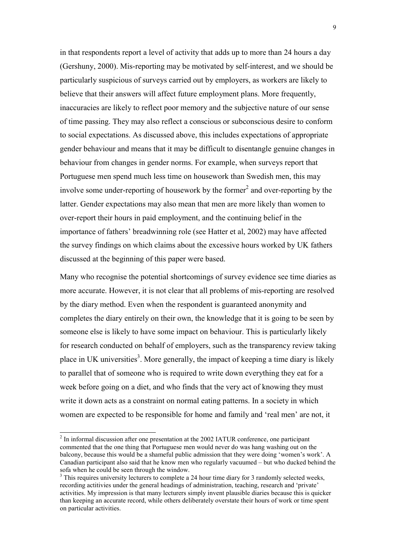in that respondents report a level of activity that adds up to more than 24 hours a day (Gershuny, 2000). Mis-reporting may be motivated by self-interest, and we should be particularly suspicious of surveys carried out by employers, as workers are likely to believe that their answers will affect future employment plans. More frequently, inaccuracies are likely to reflect poor memory and the subjective nature of our sense of time passing. They may also reflect a conscious or subconscious desire to conform to social expectations. As discussed above, this includes expectations of appropriate gender behaviour and means that it may be difficult to disentangle genuine changes in behaviour from changes in gender norms. For example, when surveys report that Portuguese men spend much less time on housework than Swedish men, this may involve some under-reporting of housework by the former<sup>2</sup> and over-reporting by the latter. Gender expectations may also mean that men are more likely than women to over-report their hours in paid employment, and the continuing belief in the importance of fathers' breadwinning role (see Hatter et al, 2002) may have affected the survey findings on which claims about the excessive hours worked by UK fathers discussed at the beginning of this paper were based.

Many who recognise the potential shortcomings of survey evidence see time diaries as more accurate. However, it is not clear that all problems of mis-reporting are resolved by the diary method. Even when the respondent is guaranteed anonymity and completes the diary entirely on their own, the knowledge that it is going to be seen by someone else is likely to have some impact on behaviour. This is particularly likely for research conducted on behalf of employers, such as the transparency review taking place in UK universities<sup>3</sup>. More generally, the impact of keeping a time diary is likely to parallel that of someone who is required to write down everything they eat for a week before going on a diet, and who finds that the very act of knowing they must write it down acts as a constraint on normal eating patterns. In a society in which women are expected to be responsible for home and family and 'real men' are not, it

 $\overline{a}$ 

 $2 \text{ In informal discussion after one presentation at the 2002 IATUR conference, one participant}$ commented that the one thing that Portuguese men would never do was hang washing out on the balcony, because this would be a shameful public admission that they were doing 'women's work'. A Canadian participant also said that he know men who regularly vacuumed – but who ducked behind the sofa when he could be seen through the window.

 $3$  This requires university lecturers to complete a 24 hour time diary for 3 randomly selected weeks, recording actitivies under the general headings of administration, teaching, research and 'private' activities. My impression is that many lecturers simply invent plausible diaries because this is quicker than keeping an accurate record, while others deliberately overstate their hours of work or time spent on particular activities.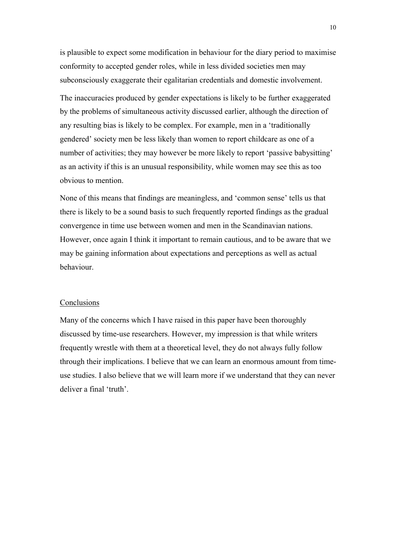is plausible to expect some modification in behaviour for the diary period to maximise conformity to accepted gender roles, while in less divided societies men may subconsciously exaggerate their egalitarian credentials and domestic involvement.

The inaccuracies produced by gender expectations is likely to be further exaggerated by the problems of simultaneous activity discussed earlier, although the direction of any resulting bias is likely to be complex. For example, men in a 'traditionally gendered' society men be less likely than women to report childcare as one of a number of activities; they may however be more likely to report 'passive babysitting' as an activity if this is an unusual responsibility, while women may see this as too obvious to mention.

None of this means that findings are meaningless, and 'common sense' tells us that there is likely to be a sound basis to such frequently reported findings as the gradual convergence in time use between women and men in the Scandinavian nations. However, once again I think it important to remain cautious, and to be aware that we may be gaining information about expectations and perceptions as well as actual behaviour.

### Conclusions

Many of the concerns which I have raised in this paper have been thoroughly discussed by time-use researchers. However, my impression is that while writers frequently wrestle with them at a theoretical level, they do not always fully follow through their implications. I believe that we can learn an enormous amount from timeuse studies. I also believe that we will learn more if we understand that they can never deliver a final 'truth'.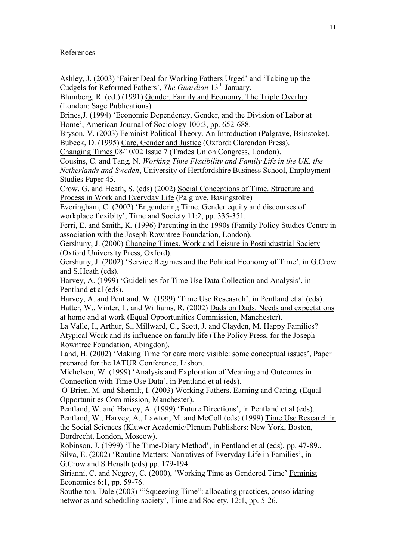References

Ashley, J. (2003) 'Fairer Deal for Working Fathers Urged' and 'Taking up the Cudgels for Reformed Fathers', *The Guardian* 13<sup>th</sup> January.

Blumberg, R. (ed.) (1991) Gender, Family and Economy. The Triple Overlap (London: Sage Publications).

Brines,J. (1994) 'Economic Dependency, Gender, and the Division of Labor at Home', American Journal of Sociology 100:3, pp. 652-688.

Bryson, V. (2003) Feminist Political Theory. An Introduction (Palgrave, Bsinstoke). Bubeck, D. (1995) Care, Gender and Justice (Oxford: Clarendon Press).

Changing Times 08/10/02 Issue 7 (Trades Union Congress, London).

Cousins, C. and Tang, N. *Working Time Flexibility and Family Life in the UK, the*

*Netherlands and Sweden*, University of Hertfordshire Business School, Employment Studies Paper 45.

Crow, G. and Heath, S. (eds) (2002) Social Conceptions of Time. Structure and Process in Work and Everyday Life (Palgrave, Basingstoke)

Everingham, C. (2002) 'Engendering Time. Gender equity and discourses of workplace flexibity', Time and Society 11:2, pp. 335-351.

Ferri, E. and Smith, K. (1996) Parenting in the 1990s (Family Policy Studies Centre in association with the Joseph Rowntree Foundation, London).

Gershuny, J. (2000) Changing Times. Work and Leisure in Postindustrial Society (Oxford University Press, Oxford).

Gershuny, J. (2002) 'Service Regimes and the Political Economy of Time', in G.Crow and S.Heath (eds).

Harvey, A. (1999) 'Guidelines for Time Use Data Collection and Analysis', in Pentland et al (eds).

Harvey, A. and Pentland, W. (1999) 'Time Use Reseasrch', in Pentland et al (eds). Hatter, W., Vinter, L. and Williams, R. (2002) Dads on Dads. Needs and expectations at home and at work (Equal Opportunities Commission, Manchester).

La Valle, I., Arthur, S., Millward, C., Scott, J. and Clayden, M. Happy Families? Atypical Work and its influence on family life (The Policy Press, for the Joseph Rowntree Foundation, Abingdon).

Land, H. (2002) 'Making Time for care more visible: some conceptual issues', Paper prepared for the IATUR Conference, Lisbon.

Michelson, W. (1999) 'Analysis and Exploration of Meaning and Outcomes in Connection with Time Use Data', in Pentland et al (eds).

 O'Brien, M. and Shemilt, I. (2003) Working Fathers. Earning and Caring, (Equal Opportunities Com mission, Manchester).

Pentland, W. and Harvey, A. (1999) 'Future Directions', in Pentland et al (eds). Pentland, W., Harvey, A., Lawton, M. and McColl (eds) (1999) Time Use Research in the Social Sciences (Kluwer Academic/Plenum Publishers: New York, Boston, Dordrecht, London, Moscow).

Robinson, J. (1999) 'The Time-Diary Method', in Pentland et al (eds), pp. 47-89.. Silva, E. (2002) 'Routine Matters: Narratives of Everyday Life in Families', in G.Crow and S.Heasth (eds) pp. 179-194.

Sirianni, C. and Negrey, C. (2000), 'Working Time as Gendered Time' Feminist Economics 6:1, pp. 59-76.

Southerton, Dale (2003) '"Squeezing Time": allocating practices, consolidating networks and scheduling society', Time and Society, 12:1, pp. 5-26.